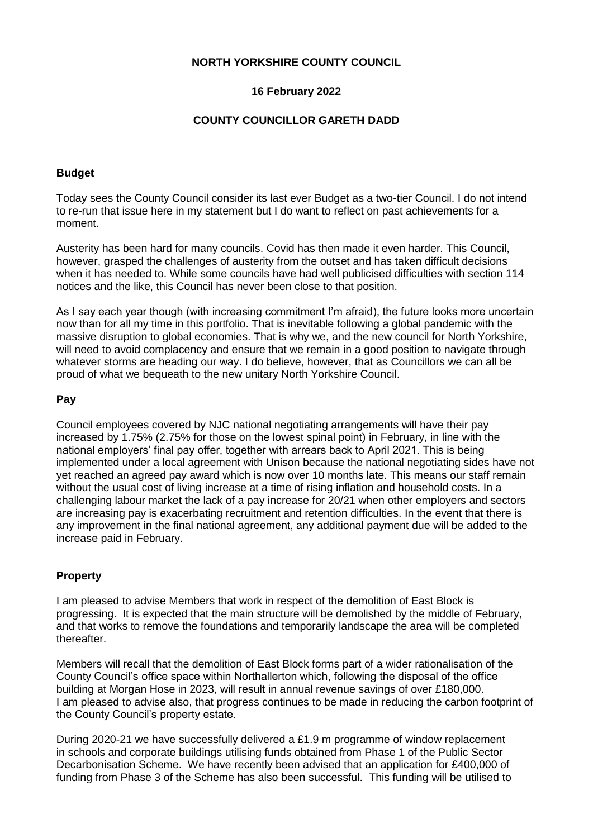# **NORTH YORKSHIRE COUNTY COUNCIL**

# **16 February 2022**

# **COUNTY COUNCILLOR GARETH DADD**

### **Budget**

Today sees the County Council consider its last ever Budget as a two-tier Council. I do not intend to re-run that issue here in my statement but I do want to reflect on past achievements for a moment.

Austerity has been hard for many councils. Covid has then made it even harder. This Council, however, grasped the challenges of austerity from the outset and has taken difficult decisions when it has needed to. While some councils have had well publicised difficulties with section 114 notices and the like, this Council has never been close to that position.

As I say each year though (with increasing commitment I'm afraid), the future looks more uncertain now than for all my time in this portfolio. That is inevitable following a global pandemic with the massive disruption to global economies. That is why we, and the new council for North Yorkshire, will need to avoid complacency and ensure that we remain in a good position to navigate through whatever storms are heading our way. I do believe, however, that as Councillors we can all be proud of what we bequeath to the new unitary North Yorkshire Council.

#### **Pay**

Council employees covered by NJC national negotiating arrangements will have their pay increased by 1.75% (2.75% for those on the lowest spinal point) in February, in line with the national employers' final pay offer, together with arrears back to April 2021. This is being implemented under a local agreement with Unison because the national negotiating sides have not yet reached an agreed pay award which is now over 10 months late. This means our staff remain without the usual cost of living increase at a time of rising inflation and household costs. In a challenging labour market the lack of a pay increase for 20/21 when other employers and sectors are increasing pay is exacerbating recruitment and retention difficulties. In the event that there is any improvement in the final national agreement, any additional payment due will be added to the increase paid in February.

### **Property**

I am pleased to advise Members that work in respect of the demolition of East Block is progressing. It is expected that the main structure will be demolished by the middle of February, and that works to remove the foundations and temporarily landscape the area will be completed thereafter.

Members will recall that the demolition of East Block forms part of a wider rationalisation of the County Council's office space within Northallerton which, following the disposal of the office building at Morgan Hose in 2023, will result in annual revenue savings of over £180,000. I am pleased to advise also, that progress continues to be made in reducing the carbon footprint of the County Council's property estate.

During 2020-21 we have successfully delivered a £1.9 m programme of window replacement in schools and corporate buildings utilising funds obtained from Phase 1 of the Public Sector Decarbonisation Scheme. We have recently been advised that an application for £400,000 of funding from Phase 3 of the Scheme has also been successful. This funding will be utilised to